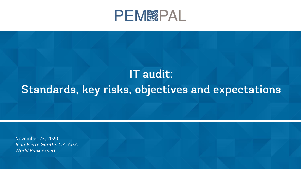

# IT audit: Standards, key risks, objectives and expectations

November 23, 2020 *Jean-Pierre Garitte, CIA, CISA World Bank expert*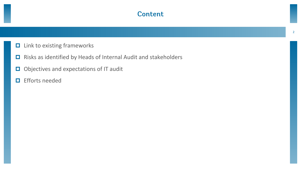### **Content**

- $\Box$  Link to existing frameworks
- Risks as identified by Heads of Internal Audit and stakeholders
- Objectives and expectations of IT audit
- **E** Efforts needed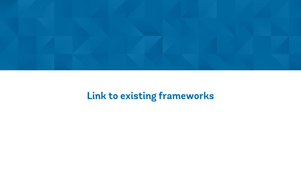

### Link to existing frameworks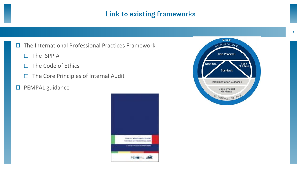### Link to existing frameworks

### $\Box$  The International Professional Practices Framework

- $\Box$  The ISPPIA
- $\Box$  The Code of Ethics
- $\Box$  The Core Principles of Internal Audit

#### **D** PEMPAL guidance



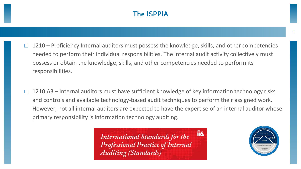### **The ISPPIA**

- 1210 Proficiency Internal auditors must possess the knowledge, skills, and other competencies needed to perform their individual responsibilities. The internal audit activity collectively must possess or obtain the knowledge, skills, and other competencies needed to perform its responsibilities.
- 1210.A3 Internal auditors must have sufficient knowledge of key information technology risks and controls and available technology-based audit techniques to perform their assigned work. However, not all internal auditors are expected to have the expertise of an internal auditor whose primary responsibility is information technology auditing.

**RA International Standards for the Professional Practice of Internal Auditing (Standards)** 

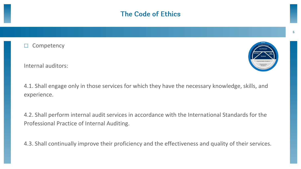### **The Code of Ethics**

**Competency** 

Internal auditors:

4.1. Shall engage only in those services for which they have the necessary knowledge, skills, and experience.

4.2. Shall perform internal audit services in accordance with the International Standards for the Professional Practice of Internal Auditing.

4.3. Shall continually improve their proficiency and the effectiveness and quality of their services.

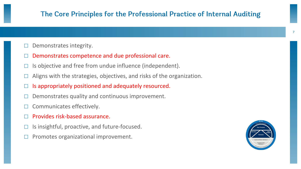### The Core Principles for the Professional Practice of Internal Auditing

- Demonstrates integrity.
- Demonstrates competence and due professional care.
- Is objective and free from undue influence (independent).
- $\Box$  Aligns with the strategies, objectives, and risks of the organization.
- Is appropriately positioned and adequately resourced.
- Demonstrates quality and continuous improvement.
- Communicates effectively.
- Provides risk-based assurance.
- Is insightful, proactive, and future-focused.
- $\Box$  Promotes organizational improvement.

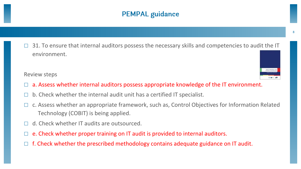### **PEMPAL guidance**

 31. To ensure that internal auditors possess the necessary skills and competencies to audit the IT environment.

#### Review steps

- a. Assess whether internal auditors possess appropriate knowledge of the IT environment.
- b. Check whether the internal audit unit has a certified IT specialist.
- $\Box$  c. Assess whether an appropriate framework, such as, Control Objectives for Information Related Technology (COBIT) is being applied.
- d. Check whether IT audits are outsourced.
- e. Check whether proper training on IT audit is provided to internal auditors.
- $\Box$  f. Check whether the prescribed methodology contains adequate guidance on IT audit.

8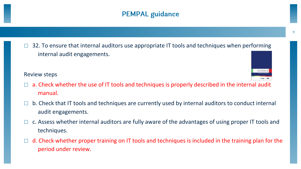### **PEMPAL guidance**

 $\Box$  32. To ensure that internal auditors use appropriate IT tools and techniques when performing internal audit engagements.

Review steps

- a. Check whether the use of IT tools and techniques is properly described in the internal audit manual.
- $\Box$  b. Check that IT tools and techniques are currently used by internal auditors to conduct internal audit engagements.
- c. Assess whether internal auditors are fully aware of the advantages of using proper IT tools and techniques.
- $\Box$  d. Check whether proper training on IT tools and techniques is included in the training plan for the period under review.

9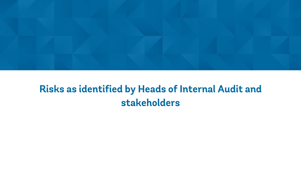

### Risks as identified by Heads of Internal Audit and stakeholders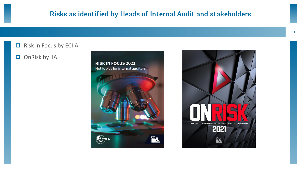### Risks as identified by Heads of Internal Audit and stakeholders

#### $\Box$  Risk in Focus by ECIIA

#### **O** OnRisk by IIA



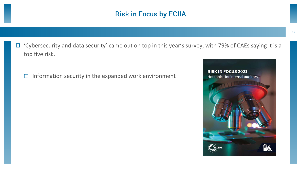### **Risk in Focus by ECIIA**

- 'Cybersecurity and data security' came out on top in this year's survey, with 79% of CAEs saying it is a top five risk.
	- $\Box$  Information security in the expanded work environment

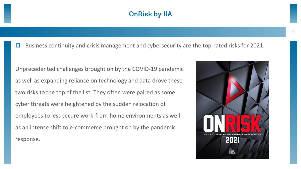### **OnRisk by IIA**

 $\Box$  Business continuity and crisis management and cybersecurity are the top-rated risks for 2021.

Unprecedented challenges brought on by the COVID-19 pandemic as well as expanding reliance on technology and data drove these two risks to the top of the list. They often were paired as some cyber threats were heightened by the sudden relocation of employees to less secure work-from-home environments as well as an intense shift to e-commerce brought on by the pandemic response.

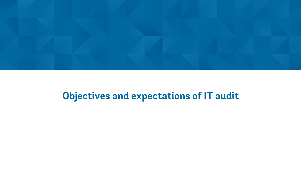

### Objectives and expectations of IT audit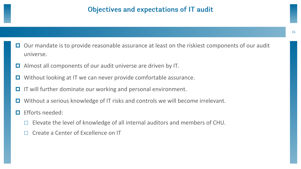- $\Box$  Our mandate is to provide reasonable assurance at least on the riskiest components of our audit universe.
- Almost all components of our audit universe are driven by IT.
- **□** Without looking at IT we can never provide comfortable assurance.
- IT will further dominate our working and personal environment.
- Without a serious knowledge of IT risks and controls we will become irrelevant.
- Efforts needed:
	- Elevate the level of knowledge of all internal auditors and members of CHU.
	- Create a Center of Excellence on IT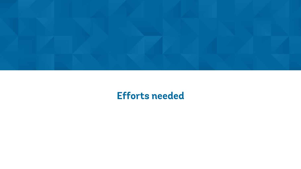

### **Efforts needed**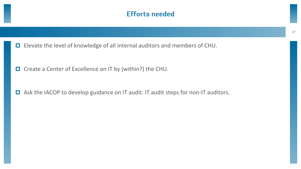### **Efforts needed**

Elevate the level of knowledge of all internal auditors and members of CHU.

□ Create a Center of Excellence on IT by (within?) the CHU.

□ Ask the IACOP to develop guidance on IT audit: IT audit steps for non-IT auditors.